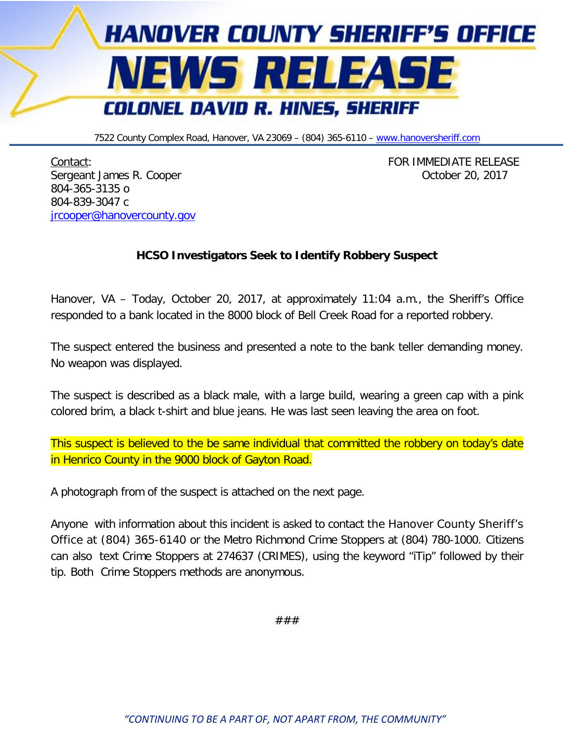

7522 County Complex Road, Hanover, VA 23069 - (804) 365-6110 - [www.hanoversheriff.com](http://www.hanoversheriff.com/)

Contact: FOR IMMEDIATE RELEASE Sergeant James R. Cooper Contract Communication of the Contract Contract Contract Contract Contract Contract Contract Contract Contract Contract Contract Contract Contract Contract Contract Contract Contract Contract Contr 804-365-3135 o 804-839-3047 c [jrcooper@hanovercounty.gov](mailto:jrcooper@hanovercounty.gov)

## **HCSO Investigators Seek to Identify Robbery Suspect**

Hanover, VA – Today, October 20, 2017, at approximately 11:04 a.m., the Sheriff's Office responded to a bank located in the 8000 block of Bell Creek Road for a reported robbery.

The suspect entered the business and presented a note to the bank teller demanding money. No weapon was displayed.

The suspect is described as a black male, with a large build, wearing a green cap with a pink colored brim, a black t-shirt and blue jeans. He was last seen leaving the area on foot.

This suspect is believed to the be same individual that committed the robbery on today's date in Henrico County in the 9000 block of Gayton Road.

A photograph from of the suspect is attached on the next page.

Anyone with information about this incident is asked to contact the Hanover County Sheriff's Office at (804) 365-6140 or the Metro Richmond Crime Stoppers at (804) 780-1000. Citizens can also text Crime Stoppers at 274637 (CRIMES), using the keyword "iTip" followed by their tip. Both Crime Stoppers methods are anonymous.

###